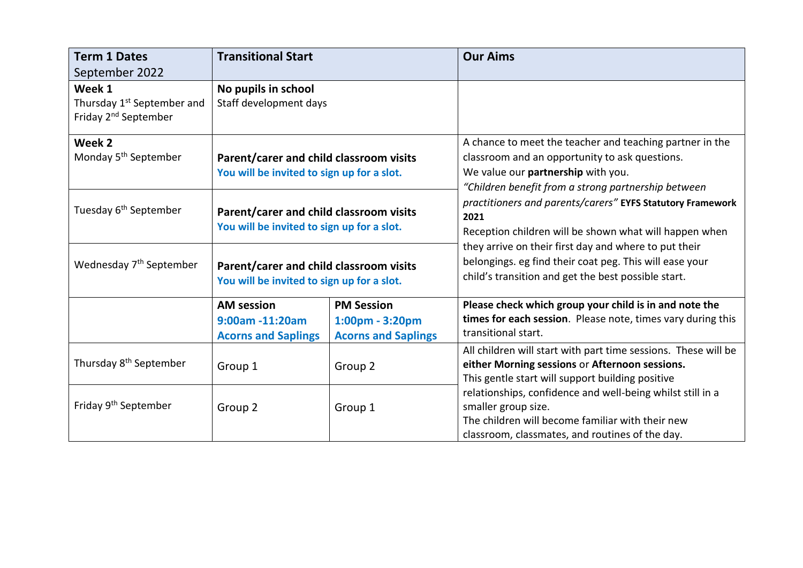| <b>Term 1 Dates</b>                                                                  | <b>Transitional Start</b>                                                             |                                                                    | <b>Our Aims</b>                                                                                                                                                                                                                                                                                                                                                                                                                                                                                                    |
|--------------------------------------------------------------------------------------|---------------------------------------------------------------------------------------|--------------------------------------------------------------------|--------------------------------------------------------------------------------------------------------------------------------------------------------------------------------------------------------------------------------------------------------------------------------------------------------------------------------------------------------------------------------------------------------------------------------------------------------------------------------------------------------------------|
| September 2022                                                                       |                                                                                       |                                                                    |                                                                                                                                                                                                                                                                                                                                                                                                                                                                                                                    |
| Week 1<br>Thursday 1 <sup>st</sup> September and<br>Friday 2 <sup>nd</sup> September | No pupils in school<br>Staff development days                                         |                                                                    |                                                                                                                                                                                                                                                                                                                                                                                                                                                                                                                    |
| Week 2<br>Monday 5 <sup>th</sup> September                                           | Parent/carer and child classroom visits<br>You will be invited to sign up for a slot. |                                                                    | A chance to meet the teacher and teaching partner in the<br>classroom and an opportunity to ask questions.<br>We value our partnership with you.<br>"Children benefit from a strong partnership between<br>practitioners and parents/carers" EYFS Statutory Framework<br>2021<br>Reception children will be shown what will happen when<br>they arrive on their first day and where to put their<br>belongings. eg find their coat peg. This will ease your<br>child's transition and get the best possible start. |
| Tuesday 6 <sup>th</sup> September                                                    | Parent/carer and child classroom visits<br>You will be invited to sign up for a slot. |                                                                    |                                                                                                                                                                                                                                                                                                                                                                                                                                                                                                                    |
| Wednesday 7 <sup>th</sup> September                                                  | Parent/carer and child classroom visits<br>You will be invited to sign up for a slot. |                                                                    |                                                                                                                                                                                                                                                                                                                                                                                                                                                                                                                    |
|                                                                                      | <b>AM</b> session<br>9:00am -11:20am<br><b>Acorns and Saplings</b>                    | <b>PM Session</b><br>1:00pm - 3:20pm<br><b>Acorns and Saplings</b> | Please check which group your child is in and note the<br>times for each session. Please note, times vary during this<br>transitional start.                                                                                                                                                                                                                                                                                                                                                                       |
| Thursday 8 <sup>th</sup> September                                                   | Group 1                                                                               | Group 2                                                            | All children will start with part time sessions. These will be<br>either Morning sessions or Afternoon sessions.<br>This gentle start will support building positive<br>relationships, confidence and well-being whilst still in a<br>smaller group size.<br>The children will become familiar with their new<br>classroom, classmates, and routines of the day.                                                                                                                                                   |
| Friday 9 <sup>th</sup> September                                                     | Group 2                                                                               | Group 1                                                            |                                                                                                                                                                                                                                                                                                                                                                                                                                                                                                                    |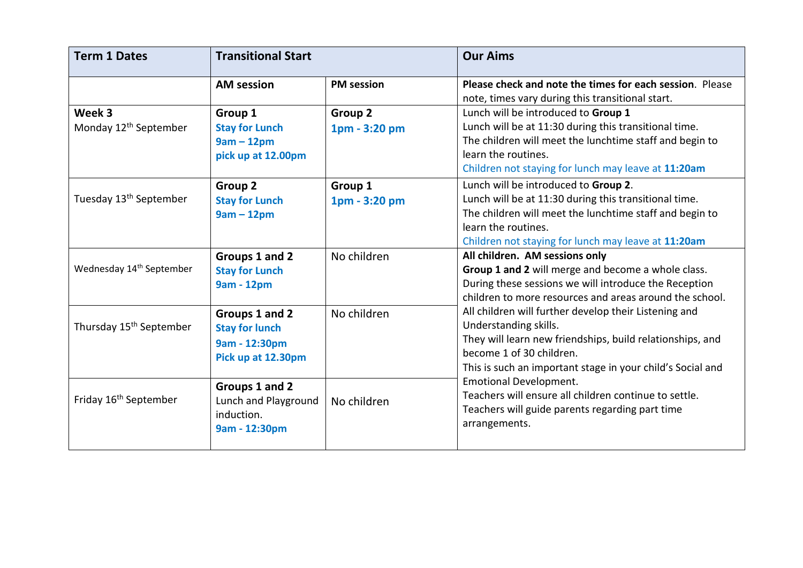| <b>Term 1 Dates</b>                         | <b>Transitional Start</b>                                                      |                          | <b>Our Aims</b>                                                                                                                                                                                                                                                                                                                                                                                                                                                                                                                                                                                                 |
|---------------------------------------------|--------------------------------------------------------------------------------|--------------------------|-----------------------------------------------------------------------------------------------------------------------------------------------------------------------------------------------------------------------------------------------------------------------------------------------------------------------------------------------------------------------------------------------------------------------------------------------------------------------------------------------------------------------------------------------------------------------------------------------------------------|
|                                             | <b>AM session</b>                                                              | <b>PM</b> session        | Please check and note the times for each session. Please<br>note, times vary during this transitional start.                                                                                                                                                                                                                                                                                                                                                                                                                                                                                                    |
| Week 3<br>Monday 12 <sup>th</sup> September | Group 1<br><b>Stay for Lunch</b><br>$9am - 12pm$<br>pick up at 12.00pm         | Group 2<br>1pm - 3:20 pm | Lunch will be introduced to Group 1<br>Lunch will be at 11:30 during this transitional time.<br>The children will meet the lunchtime staff and begin to<br>learn the routines.<br>Children not staying for lunch may leave at 11:20am                                                                                                                                                                                                                                                                                                                                                                           |
| Tuesday 13 <sup>th</sup> September          | Group 2<br><b>Stay for Lunch</b><br>$9am - 12pm$                               | Group 1<br>1pm - 3:20 pm | Lunch will be introduced to Group 2.<br>Lunch will be at 11:30 during this transitional time.<br>The children will meet the lunchtime staff and begin to<br>learn the routines.<br>Children not staying for lunch may leave at 11:20am                                                                                                                                                                                                                                                                                                                                                                          |
| Wednesday 14 <sup>th</sup> September        | Groups 1 and 2<br><b>Stay for Lunch</b><br>9am - 12pm                          | No children              | All children. AM sessions only<br>Group 1 and 2 will merge and become a whole class.<br>During these sessions we will introduce the Reception<br>children to more resources and areas around the school.<br>All children will further develop their Listening and<br>Understanding skills.<br>They will learn new friendships, build relationships, and<br>become 1 of 30 children.<br>This is such an important stage in your child's Social and<br><b>Emotional Development.</b><br>Teachers will ensure all children continue to settle.<br>Teachers will guide parents regarding part time<br>arrangements. |
| Thursday 15 <sup>th</sup> September         | Groups 1 and 2<br><b>Stay for lunch</b><br>9am - 12:30pm<br>Pick up at 12.30pm | No children              |                                                                                                                                                                                                                                                                                                                                                                                                                                                                                                                                                                                                                 |
| Friday 16 <sup>th</sup> September           | Groups 1 and 2<br>Lunch and Playground<br>induction.<br>9am - 12:30pm          | No children              |                                                                                                                                                                                                                                                                                                                                                                                                                                                                                                                                                                                                                 |